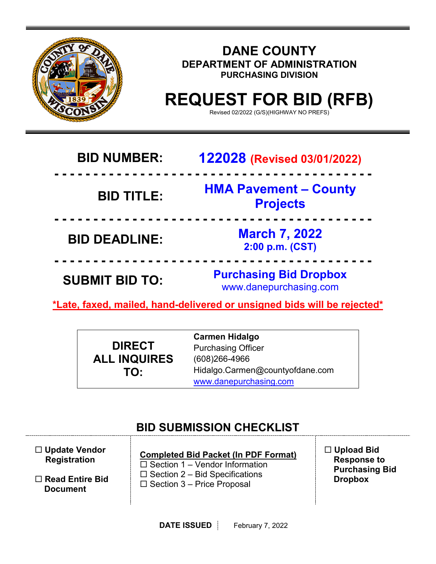

| <b>BID NUMBER:</b>    | <b>122028 (Revised 03/01/2022)</b>                      |
|-----------------------|---------------------------------------------------------|
| <b>BID TITLE:</b>     | <b>HMA Pavement - County</b><br><b>Projects</b>         |
| <b>BID DEADLINE:</b>  | <b>March 7, 2022</b><br>2:00 p.m. (CST)                 |
| <b>SUBMIT BID TO:</b> | <b>Purchasing Bid Dropbox</b><br>www.danepurchasing.com |
|                       |                                                         |

**\*Late, faxed, mailed, hand-delivered or unsigned bids will be rejected\*** 

|                     | <b>Carmen Hidalgo</b>           |
|---------------------|---------------------------------|
| <b>DIRECT</b>       | <b>Purchasing Officer</b>       |
| <b>ALL INQUIRES</b> | $(608)266 - 4966$               |
| TO:                 | Hidalgo.Carmen@countyofdane.com |
|                     | www.danepurchasing.com          |

# **BID SUBMISSION CHECKLIST**

| $\Box$ Update Vendor<br><b>Registration</b> | <b>Completed Bid Packet (In PDF Format)</b><br>$\Box$ Section 1 – Vendor Information | $\Box$ Upload Bid<br><b>Response to</b><br><b>Purchasing Bid</b> |
|---------------------------------------------|--------------------------------------------------------------------------------------|------------------------------------------------------------------|
| $\Box$ Read Entire Bid<br><b>Document</b>   | $\Box$ Section 2 – Bid Specifications<br>$\Box$ Section 3 – Price Proposal           | <b>Dropbox</b>                                                   |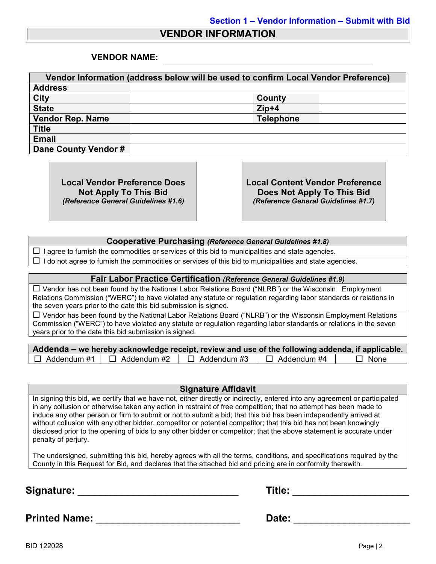## **VENDOR INFORMATION**

## **VENDOR NAME:**

| Vendor Information (address below will be used to confirm Local Vendor Preference) |                  |  |
|------------------------------------------------------------------------------------|------------------|--|
| <b>Address</b>                                                                     |                  |  |
| <b>City</b>                                                                        | County           |  |
| <b>State</b>                                                                       | $Zip+4$          |  |
| <b>Vendor Rep. Name</b>                                                            | <b>Telephone</b> |  |
| <b>Title</b>                                                                       |                  |  |
| <b>Email</b>                                                                       |                  |  |
| Dane County Vendor #                                                               |                  |  |

**Local Vendor Preference Does Not Apply To This Bid** *(Reference General Guidelines #1.6)* **Local Content Vendor Preference Does Not Apply To This Bid** *(Reference General Guidelines #1.7)*

### **Cooperative Purchasing** *(Reference General Guidelines #1.8)*

 $\Box$  I agree to furnish the commodities or services of this bid to municipalities and state agencies.

 $\Box$  I do not agree to furnish the commodities or services of this bid to municipalities and state agencies.

#### **Fair Labor Practice Certification** *(Reference General Guidelines #1.9)*

 $\Box$  Vendor has not been found by the National Labor Relations Board ("NLRB") or the Wisconsin Employment Relations Commission ("WERC") to have violated any statute or regulation regarding labor standards or relations in the seven years prior to the date this bid submission is signed.

 $\Box$  Vendor has been found by the National Labor Relations Board ("NLRB") or the Wisconsin Employment Relations Commission ("WERC") to have violated any statute or regulation regarding labor standards or relations in the seven years prior to the date this bid submission is signed.

|                    | Addenda – we hereby acknowledge receipt, review and use of the following addenda, if applicable. |               |                    |             |
|--------------------|--------------------------------------------------------------------------------------------------|---------------|--------------------|-------------|
| $\Box$ Addendum #1 | $\Box$ Addendum #2                                                                               | コ Addendum #3 | $\Box$ Addendum #4 | $\Box$ None |

#### **Signature Affidavit**

In signing this bid, we certify that we have not, either directly or indirectly, entered into any agreement or participated in any collusion or otherwise taken any action in restraint of free competition; that no attempt has been made to induce any other person or firm to submit or not to submit a bid; that this bid has been independently arrived at without collusion with any other bidder, competitor or potential competitor; that this bid has not been knowingly disclosed prior to the opening of bids to any other bidder or competitor; that the above statement is accurate under penalty of perjury.

The undersigned, submitting this bid, hereby agrees with all the terms, conditions, and specifications required by the County in this Request for Bid, and declares that the attached bid and pricing are in conformity therewith.

**Signature:** \_\_\_\_\_\_\_\_\_\_\_\_\_\_\_\_\_\_\_\_\_\_\_\_\_\_\_\_\_ **Title:** \_\_\_\_\_\_\_\_\_\_\_\_\_\_\_\_\_\_\_\_\_

**Printed Name:** \_\_\_\_\_\_\_\_\_\_\_\_\_\_\_\_\_\_\_\_\_\_\_\_\_\_ **Date:** \_\_\_\_\_\_\_\_\_\_\_\_\_\_\_\_\_\_\_\_\_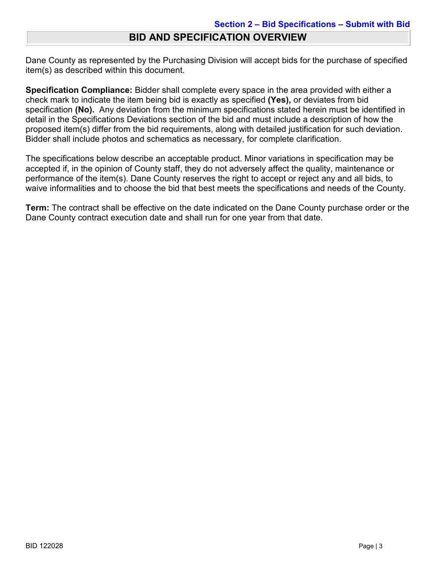# **BID AND SPECIFICATION OVERVIEW**

Dane County as represented by the Purchasing Division will accept bids for the purchase of specified item(s) as described within this document.

**Specification Compliance:** Bidder shall complete every space in the area provided with either a check mark to indicate the item being bid is exactly as specified **(Yes),** or deviates from bid specification **(No).** Any deviation from the minimum specifications stated herein must be identified in detail in the Specifications Deviations section of the bid and must include a description of how the proposed item(s) differ from the bid requirements, along with detailed justification for such deviation. Bidder shall include photos and schematics as necessary, for complete clarification.

The specifications below describe an acceptable product. Minor variations in specification may be accepted if, in the opinion of County staff, they do not adversely affect the quality, maintenance or performance of the item(s). Dane County reserves the right to accept or reject any and all bids, to waive informalities and to choose the bid that best meets the specifications and needs of the County.

**Term:** The contract shall be effective on the date indicated on the Dane County purchase order or the Dane County contract execution date and shall run for one year from that date.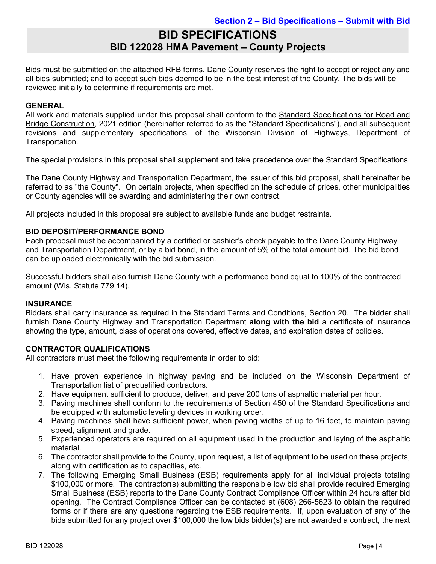# **BID SPECIFICATIONS BID 122028 HMA Pavement – County Projects**

Bids must be submitted on the attached RFB forms. Dane County reserves the right to accept or reject any and all bids submitted; and to accept such bids deemed to be in the best interest of the County. The bids will be reviewed initially to determine if requirements are met.

## **GENERAL**

All work and materials supplied under this proposal shall conform to the Standard Specifications for Road and Bridge Construction, 2021 edition (hereinafter referred to as the "Standard Specifications"), and all subsequent revisions and supplementary specifications, of the Wisconsin Division of Highways, Department of Transportation.

The special provisions in this proposal shall supplement and take precedence over the Standard Specifications.

The Dane County Highway and Transportation Department, the issuer of this bid proposal, shall hereinafter be referred to as "the County". On certain projects, when specified on the schedule of prices, other municipalities or County agencies will be awarding and administering their own contract.

All projects included in this proposal are subject to available funds and budget restraints.

## **BID DEPOSIT/PERFORMANCE BOND**

Each proposal must be accompanied by a certified or cashier's check payable to the Dane County Highway and Transportation Department, or by a bid bond, in the amount of 5% of the total amount bid. The bid bond can be uploaded electronically with the bid submission.

Successful bidders shall also furnish Dane County with a performance bond equal to 100% of the contracted amount (Wis. Statute 779.14).

#### **INSURANCE**

Bidders shall carry insurance as required in the Standard Terms and Conditions, Section 20. The bidder shall furnish Dane County Highway and Transportation Department **along with the bid** a certificate of insurance showing the type, amount, class of operations covered, effective dates, and expiration dates of policies.

## **CONTRACTOR QUALIFICATIONS**

All contractors must meet the following requirements in order to bid:

- 1. Have proven experience in highway paving and be included on the Wisconsin Department of Transportation list of prequalified contractors.
- 2. Have equipment sufficient to produce, deliver, and pave 200 tons of asphaltic material per hour.
- 3. Paving machines shall conform to the requirements of Section 450 of the Standard Specifications and be equipped with automatic leveling devices in working order.
- 4. Paving machines shall have sufficient power, when paving widths of up to 16 feet, to maintain paving speed, alignment and grade.
- 5. Experienced operators are required on all equipment used in the production and laying of the asphaltic material.
- 6. The contractor shall provide to the County, upon request, a list of equipment to be used on these projects, along with certification as to capacities, etc.
- 7. The following Emerging Small Business (ESB) requirements apply for all individual projects totaling \$100,000 or more. The contractor(s) submitting the responsible low bid shall provide required Emerging Small Business (ESB) reports to the Dane County Contract Compliance Officer within 24 hours after bid opening. The Contract Compliance Officer can be contacted at (608) 266-5623 to obtain the required forms or if there are any questions regarding the ESB requirements. If, upon evaluation of any of the bids submitted for any project over \$100,000 the low bids bidder(s) are not awarded a contract, the next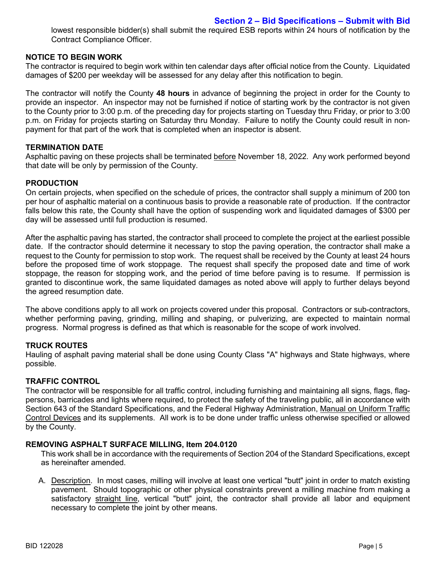lowest responsible bidder(s) shall submit the required ESB reports within 24 hours of notification by the Contract Compliance Officer.

### **NOTICE TO BEGIN WORK**

The contractor is required to begin work within ten calendar days after official notice from the County. Liquidated damages of \$200 per weekday will be assessed for any delay after this notification to begin.

The contractor will notify the County **48 hours** in advance of beginning the project in order for the County to provide an inspector. An inspector may not be furnished if notice of starting work by the contractor is not given to the County prior to 3:00 p.m. of the preceding day for projects starting on Tuesday thru Friday, or prior to 3:00 p.m. on Friday for projects starting on Saturday thru Monday. Failure to notify the County could result in nonpayment for that part of the work that is completed when an inspector is absent.

### **TERMINATION DATE**

Asphaltic paving on these projects shall be terminated before November 18, 2022. Any work performed beyond that date will be only by permission of the County.

#### **PRODUCTION**

On certain projects, when specified on the schedule of prices, the contractor shall supply a minimum of 200 ton per hour of asphaltic material on a continuous basis to provide a reasonable rate of production. If the contractor falls below this rate, the County shall have the option of suspending work and liquidated damages of \$300 per day will be assessed until full production is resumed.

After the asphaltic paving has started, the contractor shall proceed to complete the project at the earliest possible date. If the contractor should determine it necessary to stop the paving operation, the contractor shall make a request to the County for permission to stop work. The request shall be received by the County at least 24 hours before the proposed time of work stoppage. The request shall specify the proposed date and time of work stoppage, the reason for stopping work, and the period of time before paving is to resume. If permission is granted to discontinue work, the same liquidated damages as noted above will apply to further delays beyond the agreed resumption date.

The above conditions apply to all work on projects covered under this proposal. Contractors or sub-contractors, whether performing paving, grinding, milling and shaping, or pulverizing, are expected to maintain normal progress. Normal progress is defined as that which is reasonable for the scope of work involved.

#### **TRUCK ROUTES**

Hauling of asphalt paving material shall be done using County Class "A" highways and State highways, where possible.

## **TRAFFIC CONTROL**

The contractor will be responsible for all traffic control, including furnishing and maintaining all signs, flags, flagpersons, barricades and lights where required, to protect the safety of the traveling public, all in accordance with Section 643 of the Standard Specifications, and the Federal Highway Administration, Manual on Uniform Traffic Control Devices and its supplements. All work is to be done under traffic unless otherwise specified or allowed by the County.

#### **REMOVING ASPHALT SURFACE MILLING, Item 204.0120**

This work shall be in accordance with the requirements of Section 204 of the Standard Specifications, except as hereinafter amended.

A. Description. In most cases, milling will involve at least one vertical "butt" joint in order to match existing pavement. Should topographic or other physical constraints prevent a milling machine from making a satisfactory straight line, vertical "butt" joint, the contractor shall provide all labor and equipment necessary to complete the joint by other means.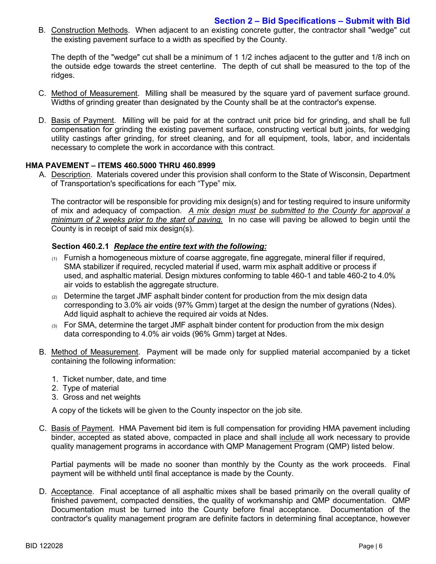B. Construction Methods. When adjacent to an existing concrete gutter, the contractor shall "wedge" cut the existing pavement surface to a width as specified by the County.

The depth of the "wedge" cut shall be a minimum of 1 1/2 inches adjacent to the gutter and 1/8 inch on the outside edge towards the street centerline. The depth of cut shall be measured to the top of the ridges.

- C. Method of Measurement. Milling shall be measured by the square yard of pavement surface ground. Widths of grinding greater than designated by the County shall be at the contractor's expense.
- D. Basis of Payment. Milling will be paid for at the contract unit price bid for grinding, and shall be full compensation for grinding the existing pavement surface, constructing vertical butt joints, for wedging utility castings after grinding, for street cleaning, and for all equipment, tools, labor, and incidentals necessary to complete the work in accordance with this contract.

### **HMA PAVEMENT – ITEMS 460.5000 THRU 460.8999**

A. Description. Materials covered under this provision shall conform to the State of Wisconsin, Department of Transportation's specifications for each "Type" mix.

The contractor will be responsible for providing mix design(s) and for testing required to insure uniformity of mix and adequacy of compaction. *A mix design must be submitted to the County for approval a minimum of 2 weeks prior to the start of paving.* In no case will paving be allowed to begin until the County is in receipt of said mix design(s).

### **Section 460.2.1** *Replace the entire text with the following:*

- $(1)$  Furnish a homogeneous mixture of coarse aggregate, fine aggregate, mineral filler if required, SMA stabilizer if required, recycled material if used, warm mix asphalt additive or process if used, and asphaltic material. Design mixtures conforming to table 460-1 and table 460-2 to 4.0% air voids to establish the aggregate structure.
- $(2)$  Determine the target JMF asphalt binder content for production from the mix design data corresponding to 3.0% air voids (97% Gmm) target at the design the number of gyrations (Ndes). Add liquid asphalt to achieve the required air voids at Ndes.
- $(3)$  For SMA, determine the target JMF asphalt binder content for production from the mix design data corresponding to 4.0% air voids (96% Gmm) target at Ndes.
- B. Method of Measurement. Payment will be made only for supplied material accompanied by a ticket containing the following information:
	- 1. Ticket number, date, and time
	- 2. Type of material
	- 3. Gross and net weights

A copy of the tickets will be given to the County inspector on the job site.

C. Basis of Payment. HMA Pavement bid item is full compensation for providing HMA pavement including binder, accepted as stated above, compacted in place and shall include all work necessary to provide quality management programs in accordance with QMP Management Program (QMP) listed below.

Partial payments will be made no sooner than monthly by the County as the work proceeds. Final payment will be withheld until final acceptance is made by the County.

D. Acceptance. Final acceptance of all asphaltic mixes shall be based primarily on the overall quality of finished pavement, compacted densities, the quality of workmanship and QMP documentation. QMP Documentation must be turned into the County before final acceptance. Documentation of the contractor's quality management program are definite factors in determining final acceptance, however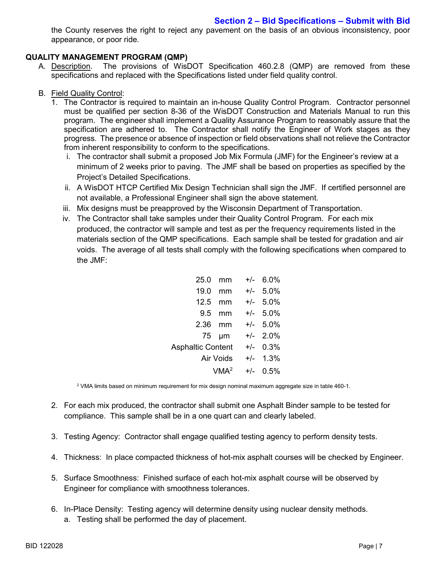the County reserves the right to reject any pavement on the basis of an obvious inconsistency, poor appearance, or poor ride.

## **QUALITY MANAGEMENT PROGRAM (QMP)**

A. Description. The provisions of WisDOT Specification 460.2.8 (QMP) are removed from these specifications and replaced with the Specifications listed under field quality control.

## B. Field Quality Control:

- 1. The Contractor is required to maintain an in-house Quality Control Program. Contractor personnel must be qualified per section 8-36 of the WisDOT Construction and Materials Manual to run this program. The engineer shall implement a Quality Assurance Program to reasonably assure that the specification are adhered to. The Contractor shall notify the Engineer of Work stages as they progress. The presence or absence of inspection or field observations shall not relieve the Contractor from inherent responsibility to conform to the specifications.
	- i. The contractor shall submit a proposed Job Mix Formula (JMF) for the Engineer's review at a minimum of 2 weeks prior to paving. The JMF shall be based on properties as specified by the Project's Detailed Specifications.
	- ii. A WisDOT HTCP Certified Mix Design Technician shall sign the JMF. If certified personnel are not available, a Professional Engineer shall sign the above statement.
	- iii. Mix designs must be preapproved by the Wisconsin Department of Transportation.
	- iv. The Contractor shall take samples under their Quality Control Program. For each mix produced, the contractor will sample and test as per the frequency requirements listed in the materials section of the QMP specifications. Each sample shall be tested for gradation and air voids. The average of all tests shall comply with the following specifications when compared to the JMF:

| 25.0                     | mm    | $+/-$ | 6.0%       |
|--------------------------|-------|-------|------------|
| 19.0                     | mm    |       | $+/-$ 5.0% |
| 12.5                     | mm    |       | $+/-$ 5.0% |
| 9.5                      | mm    |       | $+/-$ 5.0% |
| 2.36                     | mm    |       | $+/-$ 5.0% |
|                          | 75 µm |       | $+/-$ 2.0% |
| <b>Asphaltic Content</b> |       |       | $+/-$ 0.3% |
| Air Voids                |       |       | $+/-$ 1.3% |
| VMA <sup>2</sup>         |       |       | $+/-$ 0.5% |

<sup>2</sup> VMA limits based on minimum requirement for mix design nominal maximum aggregate size in table 460-1.

- 2. For each mix produced, the contractor shall submit one Asphalt Binder sample to be tested for compliance. This sample shall be in a one quart can and clearly labeled.
- 3. Testing Agency: Contractor shall engage qualified testing agency to perform density tests.
- 4. Thickness: In place compacted thickness of hot-mix asphalt courses will be checked by Engineer.
- 5. Surface Smoothness: Finished surface of each hot-mix asphalt course will be observed by Engineer for compliance with smoothness tolerances.
- 6. In-Place Density: Testing agency will determine density using nuclear density methods.
	- a. Testing shall be performed the day of placement.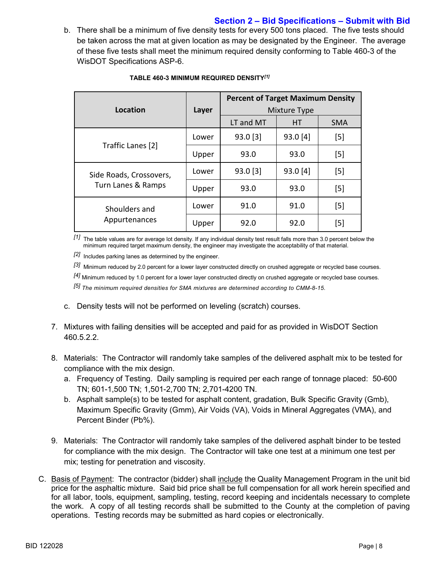## **Section 2 – Bid Specifications – Submit with Bid**

b. There shall be a minimum of five density tests for every 500 tons placed. The five tests should be taken across the mat at given location as may be designated by the Engineer. The average of these five tests shall meet the minimum required density conforming to Table 460-3 of the WisDOT Specifications ASP-6.

|                                               |       | <b>Percent of Target Maximum Density</b> |           |            |
|-----------------------------------------------|-------|------------------------------------------|-----------|------------|
| Location                                      | Layer | Mixture Type                             |           |            |
|                                               |       | LT and MT                                | <b>HT</b> | <b>SMA</b> |
| Traffic Lanes [2]                             | Lower | $93.0$ [3]                               | 93.0 [4]  | [5]        |
|                                               | Upper | 93.0                                     | 93.0      | $[5]$      |
| Side Roads, Crossovers,<br>Turn Lanes & Ramps | Lower | $93.0$ [3]                               | 93.0 [4]  | $[5]$      |
|                                               | Upper | 93.0                                     | 93.0      | $[5]$      |
| Shoulders and                                 | Lower | 91.0                                     | 91.0      | $[5]$      |
| Appurtenances                                 | Upper | 92.0                                     | 92.0      | $[5]$      |

#### **TABLE 460-3 MINIMUM REQUIRED DENSITY***[1]*

*[1]* The table values are for average lot density. If any individual density test result falls more than 3.0 percent below the minimum required target maximum density, the engineer may investigate the acceptability of that material.

*[2]* Includes parking lanes as determined by the engineer.

*[3]* Minimum reduced by 2.0 percent for a lower layer constructed directly on crushed aggregate or recycled base courses.

*[4]* Minimum reduced by 1.0 percent for a lower layer constructed directly on crushed aggregate or recycled base courses.

*[5] The minimum required densities for SMA mixtures are determined according to CMM-8-15.*

- c. Density tests will not be performed on leveling (scratch) courses.
- 7. Mixtures with failing densities will be accepted and paid for as provided in WisDOT Section 460.5.2.2.
- 8. Materials: The Contractor will randomly take samples of the delivered asphalt mix to be tested for compliance with the mix design.
	- a. Frequency of Testing. Daily sampling is required per each range of tonnage placed: 50-600 TN; 601-1,500 TN; 1,501-2,700 TN; 2,701-4200 TN.
	- b. Asphalt sample(s) to be tested for asphalt content, gradation, Bulk Specific Gravity (Gmb), Maximum Specific Gravity (Gmm), Air Voids (VA), Voids in Mineral Aggregates (VMA), and Percent Binder (Pb%).
- 9. Materials: The Contractor will randomly take samples of the delivered asphalt binder to be tested for compliance with the mix design. The Contractor will take one test at a minimum one test per mix; testing for penetration and viscosity.
- C. Basis of Payment: The contractor (bidder) shall include the Quality Management Program in the unit bid price for the asphaltic mixture. Said bid price shall be full compensation for all work herein specified and for all labor, tools, equipment, sampling, testing, record keeping and incidentals necessary to complete the work. A copy of all testing records shall be submitted to the County at the completion of paving operations. Testing records may be submitted as hard copies or electronically.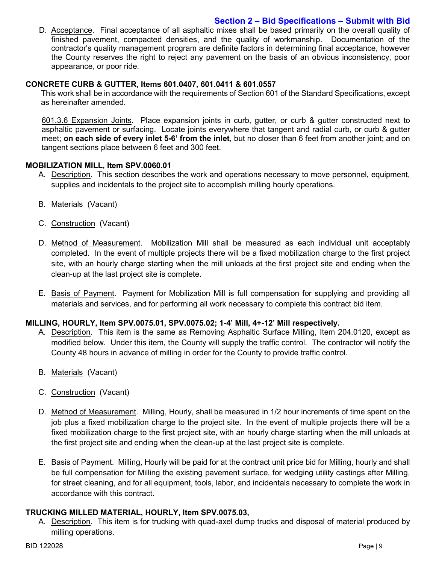## **Section 2 – Bid Specifications – Submit with Bid**

D. Acceptance. Final acceptance of all asphaltic mixes shall be based primarily on the overall quality of finished pavement, compacted densities, and the quality of workmanship. Documentation of the contractor's quality management program are definite factors in determining final acceptance, however the County reserves the right to reject any pavement on the basis of an obvious inconsistency, poor appearance, or poor ride.

## **CONCRETE CURB & GUTTER, Items 601.0407, 601.0411 & 601.0557**

This work shall be in accordance with the requirements of Section 601 of the Standard Specifications, except as hereinafter amended.

601.3.6 Expansion Joints. Place expansion joints in curb, gutter, or curb & gutter constructed next to asphaltic pavement or surfacing. Locate joints everywhere that tangent and radial curb, or curb & gutter meet; **on each side of every inlet 5-6' from the inlet**, but no closer than 6 feet from another joint; and on tangent sections place between 6 feet and 300 feet.

### **MOBILIZATION MILL, Item SPV.0060.01**

- A. Description. This section describes the work and operations necessary to move personnel, equipment, supplies and incidentals to the project site to accomplish milling hourly operations.
- B. Materials (Vacant)
- C. Construction (Vacant)
- D. Method of Measurement. Mobilization Mill shall be measured as each individual unit acceptably completed. In the event of multiple projects there will be a fixed mobilization charge to the first project site, with an hourly charge starting when the mill unloads at the first project site and ending when the clean-up at the last project site is complete.
- E. Basis of Payment. Payment for Mobilization Mill is full compensation for supplying and providing all materials and services, and for performing all work necessary to complete this contract bid item.

## **MILLING, HOURLY, Item SPV.0075.01, SPV.0075.02; 1-4' Mill, 4+-12' Mill respectively.**

- A. Description. This item is the same as Removing Asphaltic Surface Milling, Item 204.0120, except as modified below. Under this item, the County will supply the traffic control. The contractor will notify the County 48 hours in advance of milling in order for the County to provide traffic control.
- B. Materials (Vacant)
- C. Construction (Vacant)
- D. Method of Measurement. Milling, Hourly, shall be measured in 1/2 hour increments of time spent on the job plus a fixed mobilization charge to the project site. In the event of multiple projects there will be a fixed mobilization charge to the first project site, with an hourly charge starting when the mill unloads at the first project site and ending when the clean-up at the last project site is complete.
- E. Basis of Payment. Milling, Hourly will be paid for at the contract unit price bid for Milling, hourly and shall be full compensation for Milling the existing pavement surface, for wedging utility castings after Milling, for street cleaning, and for all equipment, tools, labor, and incidentals necessary to complete the work in accordance with this contract.

#### **TRUCKING MILLED MATERIAL, HOURLY, Item SPV.0075.03,**

A. Description. This item is for trucking with quad-axel dump trucks and disposal of material produced by milling operations.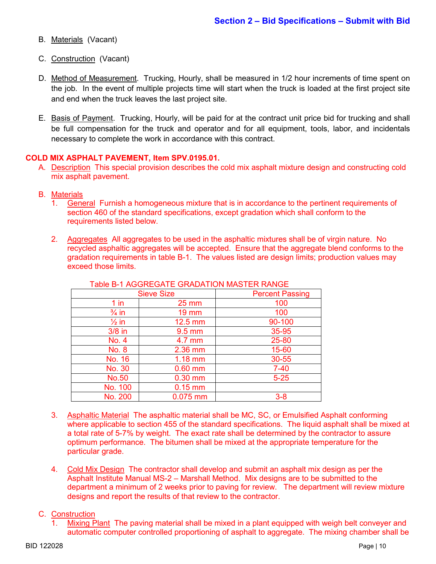- B. Materials (Vacant)
- C. Construction (Vacant)
- D. Method of Measurement. Trucking, Hourly, shall be measured in 1/2 hour increments of time spent on the job. In the event of multiple projects time will start when the truck is loaded at the first project site and end when the truck leaves the last project site.
- E. Basis of Payment. Trucking, Hourly, will be paid for at the contract unit price bid for trucking and shall be full compensation for the truck and operator and for all equipment, tools, labor, and incidentals necessary to complete the work in accordance with this contract.

#### **COLD MIX ASPHALT PAVEMENT, Item SPV.0195.01.**

- A. Description This special provision describes the cold mix asphalt mixture design and constructing cold mix asphalt pavement.
- B. Materials
	- 1. General Furnish a homogeneous mixture that is in accordance to the pertinent requirements of section 460 of the standard specifications, except gradation which shall conform to the requirements listed below.
	- 2. Aggregates All aggregates to be used in the asphaltic mixtures shall be of virgin nature. No recycled asphaltic aggregates will be accepted. Ensure that the aggregate blend conforms to the gradation requirements in table B-1. The values listed are design limits; production values may exceed those limits.

| <b>Sieve Size</b> |                   | <b>Percent Passing</b> |
|-------------------|-------------------|------------------------|
| $1$ in            | $25 \, \text{mm}$ | 100                    |
| $\frac{3}{4}$ in  | <b>19 mm</b>      | 100                    |
| $\frac{1}{2}$ in  | 12.5 mm           | 90-100                 |
| $3/8$ in          | $9.5$ mm          | 35-95                  |
| <b>No. 4</b>      | 4.7 mm            | 25-80                  |
| <b>No. 8</b>      | 2.36 mm           | 15-60                  |
| No. 16            | $1.18$ mm         | 30-55                  |
| No. 30            | $0.60$ mm         | $7 - 40$               |
| <b>No.50</b>      | $0.30$ mm         | $5 - 25$               |
| No. 100           | $0.15$ mm         |                        |
| No. 200           | 0.075 mm          | $3-8$                  |

#### Table B-1 AGGREGATE GRADATION MASTER RANGE

- 3. Asphaltic Material The asphaltic material shall be MC, SC, or Emulsified Asphalt conforming where applicable to section 455 of the standard specifications. The liquid asphalt shall be mixed at a total rate of 5-7% by weight. The exact rate shall be determined by the contractor to assure optimum performance. The bitumen shall be mixed at the appropriate temperature for the particular grade.
- 4. Cold Mix Design The contractor shall develop and submit an asphalt mix design as per the Asphalt Institute Manual MS-2 – Marshall Method. Mix designs are to be submitted to the department a minimum of 2 weeks prior to paving for review. The department will review mixture designs and report the results of that review to the contractor.

### C. Construction

1. Mixing Plant The paving material shall be mixed in a plant equipped with weigh belt conveyer and automatic computer controlled proportioning of asphalt to aggregate. The mixing chamber shall be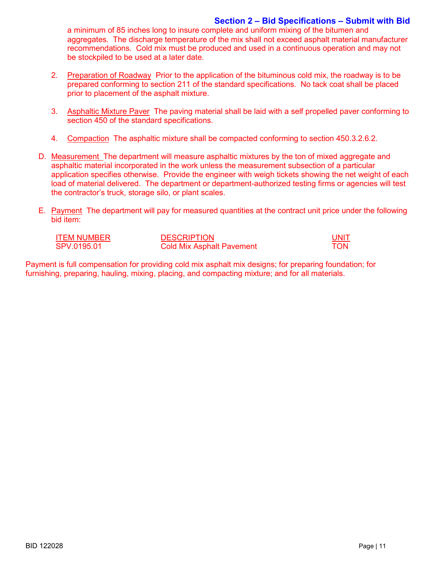## **Section 2 – Bid Specifications – Submit with Bid**

a minimum of 85 inches long to insure complete and uniform mixing of the bitumen and aggregates. The discharge temperature of the mix shall not exceed asphalt material manufacturer recommendations. Cold mix must be produced and used in a continuous operation and may not be stockpiled to be used at a later date.

- 2. Preparation of Roadway Prior to the application of the bituminous cold mix, the roadway is to be prepared conforming to section 211 of the standard specifications. No tack coat shall be placed prior to placement of the asphalt mixture.
- 3. Asphaltic Mixture Paver The paving material shall be laid with a self propelled paver conforming to section 450 of the standard specifications.
- 4. Compaction The asphaltic mixture shall be compacted conforming to section 450.3.2.6.2.
- D. Measurement The department will measure asphaltic mixtures by the ton of mixed aggregate and asphaltic material incorporated in the work unless the measurement subsection of a particular application specifies otherwise. Provide the engineer with weigh tickets showing the net weight of each load of material delivered. The department or department-authorized testing firms or agencies will test the contractor's truck, storage silo, or plant scales.
- E. Payment The department will pay for measured quantities at the contract unit price under the following bid item:

| <b>ITEM NUMBER</b> | <b>DESCRIPTION</b>               | UNIT |
|--------------------|----------------------------------|------|
| SPV.0195.01        | <b>Cold Mix Asphalt Pavement</b> | TON  |

Payment is full compensation for providing cold mix asphalt mix designs; for preparing foundation; for furnishing, preparing, hauling, mixing, placing, and compacting mixture; and for all materials.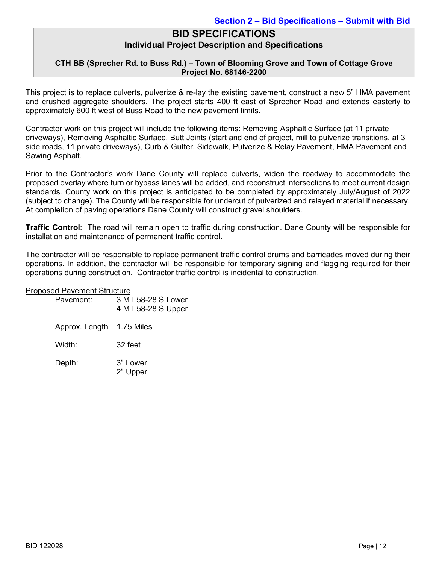## **CTH BB (Sprecher Rd. to Buss Rd.) – Town of Blooming Grove and Town of Cottage Grove Project No. 68146-2200**

This project is to replace culverts, pulverize & re-lay the existing pavement, construct a new 5" HMA pavement and crushed aggregate shoulders. The project starts 400 ft east of Sprecher Road and extends easterly to approximately 600 ft west of Buss Road to the new pavement limits.

Contractor work on this project will include the following items: Removing Asphaltic Surface (at 11 private driveways), Removing Asphaltic Surface, Butt Joints (start and end of project, mill to pulverize transitions, at 3 side roads, 11 private driveways), Curb & Gutter, Sidewalk, Pulverize & Relay Pavement, HMA Pavement and Sawing Asphalt.

Prior to the Contractor's work Dane County will replace culverts, widen the roadway to accommodate the proposed overlay where turn or bypass lanes will be added, and reconstruct intersections to meet current design standards. County work on this project is anticipated to be completed by approximately July/August of 2022 (subject to change). The County will be responsible for undercut of pulverized and relayed material if necessary. At completion of paving operations Dane County will construct gravel shoulders.

**Traffic Control**: The road will remain open to traffic during construction. Dane County will be responsible for installation and maintenance of permanent traffic control.

The contractor will be responsible to replace permanent traffic control drums and barricades moved during their operations. In addition, the contractor will be responsible for temporary signing and flagging required for their operations during construction. Contractor traffic control is incidental to construction.

#### Proposed Pavement Structure

| Pavement:      | 3 MT 58-28 S Lower<br>4 MT 58-28 S Upper |
|----------------|------------------------------------------|
| Approx. Length | 1.75 Miles                               |
| Width:         | 32 feet                                  |
| Depth:         | 3" Lower<br>2" Upper                     |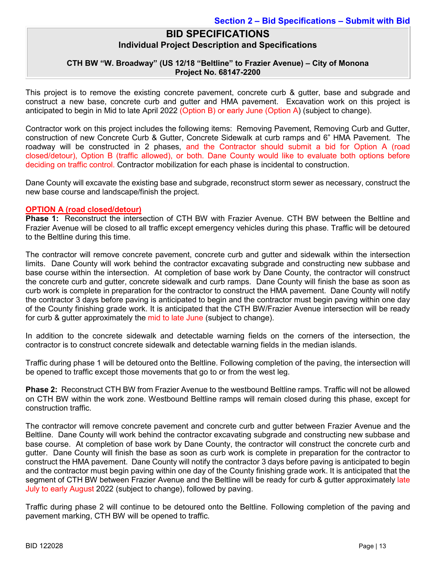## **CTH BW "W. Broadway" (US 12/18 "Beltline" to Frazier Avenue) – City of Monona Project No. 68147-2200**

This project is to remove the existing concrete pavement, concrete curb & gutter, base and subgrade and construct a new base, concrete curb and gutter and HMA pavement. Excavation work on this project is anticipated to begin in Mid to late April 2022 (Option B) or early June (Option A) (subject to change).

Contractor work on this project includes the following items: Removing Pavement, Removing Curb and Gutter, construction of new Concrete Curb & Gutter, Concrete Sidewalk at curb ramps and 6" HMA Pavement. The roadway will be constructed in 2 phases, and the Contractor should submit a bid for Option A (road closed/detour), Option B (traffic allowed), or both. Dane County would like to evaluate both options before deciding on traffic control. Contractor mobilization for each phase is incidental to construction.

Dane County will excavate the existing base and subgrade, reconstruct storm sewer as necessary, construct the new base course and landscape/finish the project.

### **OPTION A (road closed/detour)**

**Phase 1:** Reconstruct the intersection of CTH BW with Frazier Avenue. CTH BW between the Beltline and Frazier Avenue will be closed to all traffic except emergency vehicles during this phase. Traffic will be detoured to the Beltline during this time.

The contractor will remove concrete pavement, concrete curb and gutter and sidewalk within the intersection limits. Dane County will work behind the contractor excavating subgrade and constructing new subbase and base course within the intersection. At completion of base work by Dane County, the contractor will construct the concrete curb and gutter, concrete sidewalk and curb ramps. Dane County will finish the base as soon as curb work is complete in preparation for the contractor to construct the HMA pavement. Dane County will notify the contractor 3 days before paving is anticipated to begin and the contractor must begin paving within one day of the County finishing grade work. It is anticipated that the CTH BW/Frazier Avenue intersection will be ready for curb & gutter approximately the mid to late June (subject to change).

In addition to the concrete sidewalk and detectable warning fields on the corners of the intersection, the contractor is to construct concrete sidewalk and detectable warning fields in the median islands.

Traffic during phase 1 will be detoured onto the Beltline. Following completion of the paving, the intersection will be opened to traffic except those movements that go to or from the west leg.

**Phase 2:** Reconstruct CTH BW from Frazier Avenue to the westbound Beltline ramps. Traffic will not be allowed on CTH BW within the work zone. Westbound Beltline ramps will remain closed during this phase, except for construction traffic.

The contractor will remove concrete pavement and concrete curb and gutter between Frazier Avenue and the Beltline. Dane County will work behind the contractor excavating subgrade and constructing new subbase and base course. At completion of base work by Dane County, the contractor will construct the concrete curb and gutter. Dane County will finish the base as soon as curb work is complete in preparation for the contractor to construct the HMA pavement. Dane County will notify the contractor 3 days before paving is anticipated to begin and the contractor must begin paving within one day of the County finishing grade work. It is anticipated that the segment of CTH BW between Frazier Avenue and the Beltline will be ready for curb & gutter approximately late July to early August 2022 (subject to change), followed by paving.

Traffic during phase 2 will continue to be detoured onto the Beltline. Following completion of the paving and pavement marking, CTH BW will be opened to traffic.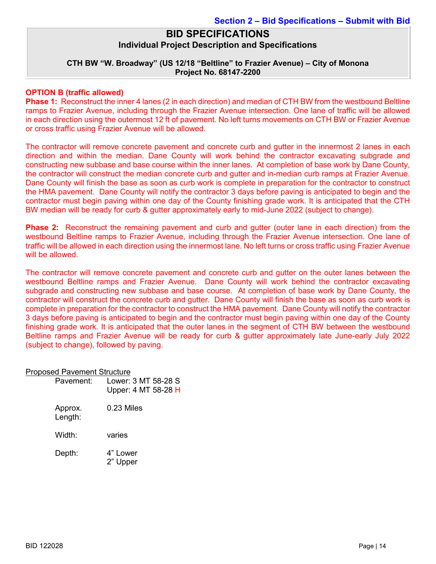## **CTH BW "W. Broadway" (US 12/18 "Beltline" to Frazier Avenue) – City of Monona Project No. 68147-2200**

#### **OPTION B (traffic allowed)**

**Phase 1:** Reconstruct the inner 4 lanes (2 in each direction) and median of CTH BW from the westbound Beltline ramps to Frazier Avenue, including through the Frazier Avenue intersection. One lane of traffic will be allowed in each direction using the outermost 12 ft of pavement. No left turns movements on CTH BW or Frazier Avenue or cross traffic using Frazier Avenue will be allowed.

The contractor will remove concrete pavement and concrete curb and gutter in the innermost 2 lanes in each direction and within the median. Dane County will work behind the contractor excavating subgrade and constructing new subbase and base course within the inner lanes. At completion of base work by Dane County, the contractor will construct the median concrete curb and gutter and in-median curb ramps at Frazier Avenue. Dane County will finish the base as soon as curb work is complete in preparation for the contractor to construct the HMA pavement. Dane County will notify the contractor 3 days before paving is anticipated to begin and the contractor must begin paving within one day of the County finishing grade work. It is anticipated that the CTH BW median will be ready for curb & gutter approximately early to mid-June 2022 (subject to change).

**Phase 2:** Reconstruct the remaining pavement and curb and gutter (outer lane in each direction) from the westbound Beltline ramps to Frazier Avenue, including through the Frazier Avenue intersection. One lane of traffic will be allowed in each direction using the innermost lane. No left turns or cross traffic using Frazier Avenue will be allowed.

The contractor will remove concrete pavement and concrete curb and gutter on the outer lanes between the westbound Beltline ramps and Frazier Avenue. Dane County will work behind the contractor excavating subgrade and constructing new subbase and base course. At completion of base work by Dane County, the contractor will construct the concrete curb and gutter. Dane County will finish the base as soon as curb work is complete in preparation for the contractor to construct the HMA pavement. Dane County will notify the contractor 3 days before paving is anticipated to begin and the contractor must begin paving within one day of the County finishing grade work. It is anticipated that the outer lanes in the segment of CTH BW between the westbound Beltline ramps and Frazier Avenue will be ready for curb & gutter approximately late June-early July 2022 (subject to change), followed by paving.

| Proposed Pavement Structure |                                            |
|-----------------------------|--------------------------------------------|
| Pavement:                   | Lower: 3 MT 58-28 S<br>Upper: 4 MT 58-28 H |
| Approx.                     | 0.23 Miles                                 |

Proposed Pavement Structure

Length: Width: varies Depth: 4" Lower 2" Upper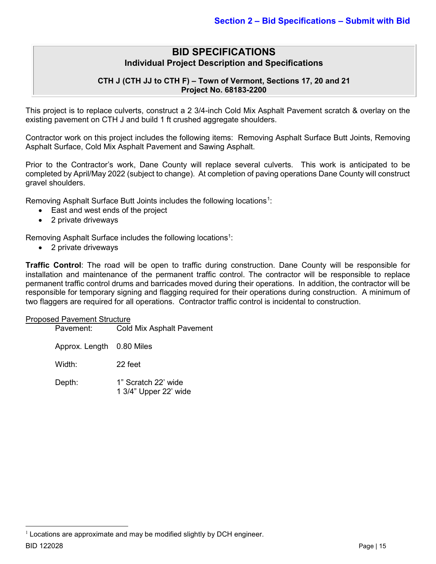## **CTH J (CTH JJ to CTH F) – Town of Vermont, Sections 17, 20 and 21 Project No. 68183-2200**

This project is to replace culverts, construct a 2 3/4-inch Cold Mix Asphalt Pavement scratch & overlay on the existing pavement on CTH J and build 1 ft crushed aggregate shoulders.

Contractor work on this project includes the following items: Removing Asphalt Surface Butt Joints, Removing Asphalt Surface, Cold Mix Asphalt Pavement and Sawing Asphalt.

Prior to the Contractor's work, Dane County will replace several culverts. This work is anticipated to be completed by April/May 2022 (subject to change). At completion of paving operations Dane County will construct gravel shoulders.

Removing Asphalt Surface Butt Joints includes the following locations $^{\rm 1}$  $^{\rm 1}$  $^{\rm 1}$ :

- East and west ends of the project
- 2 private driveways

Removing Asphalt Surface includes the following locations $^1$ :

• 2 private driveways

**Traffic Control**: The road will be open to traffic during construction. Dane County will be responsible for installation and maintenance of the permanent traffic control. The contractor will be responsible to replace permanent traffic control drums and barricades moved during their operations. In addition, the contractor will be responsible for temporary signing and flagging required for their operations during construction. A minimum of two flaggers are required for all operations. Contractor traffic control is incidental to construction.

#### Proposed Pavement Structure

| Pavement:                 | <b>Cold Mix Asphalt Pavement</b>             |
|---------------------------|----------------------------------------------|
| Approx. Length 0.80 Miles |                                              |
| Width:                    | 22 feet                                      |
| Depth:                    | 1" Scratch 22' wide<br>1 3/4" Upper 22' wide |

BID 122028 Page | 15

<span id="page-14-0"></span> $1$  Locations are approximate and may be modified slightly by DCH engineer.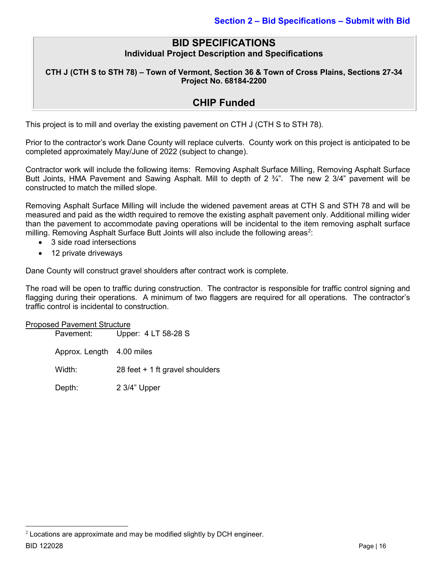**CTH J (CTH S to STH 78) – Town of Vermont, Section 36 & Town of Cross Plains, Sections 27-34 Project No. 68184-2200**

## **CHIP Funded**

This project is to mill and overlay the existing pavement on CTH J (CTH S to STH 78).

Prior to the contractor's work Dane County will replace culverts. County work on this project is anticipated to be completed approximately May/June of 2022 (subject to change).

Contractor work will include the following items: Removing Asphalt Surface Milling, Removing Asphalt Surface Butt Joints, HMA Pavement and Sawing Asphalt. Mill to depth of 2 ¾". The new 2 3/4" pavement will be constructed to match the milled slope.

Removing Asphalt Surface Milling will include the widened pavement areas at CTH S and STH 78 and will be measured and paid as the width required to remove the existing asphalt pavement only. Additional milling wider than the pavement to accommodate paving operations will be incidental to the item removing asphalt surface milling. Removing Asphalt Surface Butt Joints will also include the following areas $^2$  $^2$ :

- 3 side road intersections
- 12 private driveways

Dane County will construct gravel shoulders after contract work is complete.

The road will be open to traffic during construction. The contractor is responsible for traffic control signing and flagging during their operations. A minimum of two flaggers are required for all operations. The contractor's traffic control is incidental to construction.

Proposed Pavement Structure Pavement: Upper: 4 LT 58-28 S Approx. Length 4.00 miles Width: 28 feet + 1 ft gravel shoulders Depth: 2 3/4" Upper

<span id="page-15-0"></span>BID 122028 Page | 16  $2$  Locations are approximate and may be modified slightly by DCH engineer.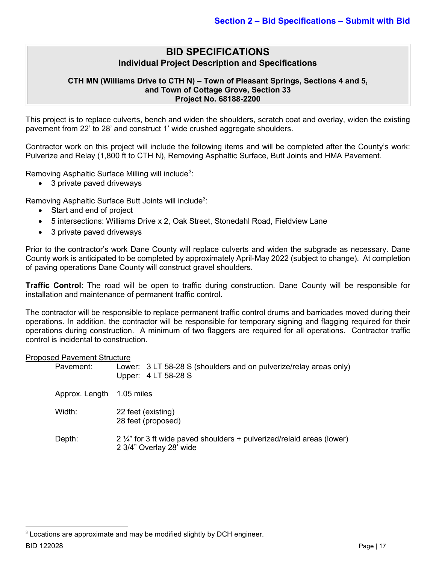#### **CTH MN (Williams Drive to CTH N) – Town of Pleasant Springs, Sections 4 and 5, and Town of Cottage Grove, Section 33 Project No. 68188-2200**

This project is to replace culverts, bench and widen the shoulders, scratch coat and overlay, widen the existing pavement from 22' to 28' and construct 1' wide crushed aggregate shoulders.

Contractor work on this project will include the following items and will be completed after the County's work: Pulverize and Relay (1,800 ft to CTH N), Removing Asphaltic Surface, Butt Joints and HMA Pavement.

Removing Asphaltic Surface Milling will include<sup>[3](#page-16-0)</sup>:

• 3 private paved driveways

Removing Asphaltic Surface Butt Joints will include<sup>3</sup>:

- Start and end of project
- 5 intersections: Williams Drive x 2, Oak Street, Stonedahl Road, Fieldview Lane
- 3 private paved driveways

Prior to the contractor's work Dane County will replace culverts and widen the subgrade as necessary. Dane County work is anticipated to be completed by approximately April-May 2022 (subject to change). At completion of paving operations Dane County will construct gravel shoulders.

**Traffic Control**: The road will be open to traffic during construction. Dane County will be responsible for installation and maintenance of permanent traffic control.

The contractor will be responsible to replace permanent traffic control drums and barricades moved during their operations. In addition, the contractor will be responsible for temporary signing and flagging required for their operations during construction. A minimum of two flaggers are required for all operations. Contractor traffic control is incidental to construction.

#### Proposed Pavement Structure

| Pavement:                 | Lower: 3 LT 58-28 S (shoulders and on pulverize/relay areas only)<br>Upper: 4 LT 58-28 S                  |
|---------------------------|-----------------------------------------------------------------------------------------------------------|
| Approx. Length 1.05 miles |                                                                                                           |
| Width:                    | 22 feet (existing)<br>28 feet (proposed)                                                                  |
| Depth:                    | $2\frac{1}{4}$ for 3 ft wide paved shoulders + pulverized/relaid areas (lower)<br>2 3/4" Overlay 28' wide |

BID 122028 Page | 17

<span id="page-16-0"></span> $3$  Locations are approximate and may be modified slightly by DCH engineer.